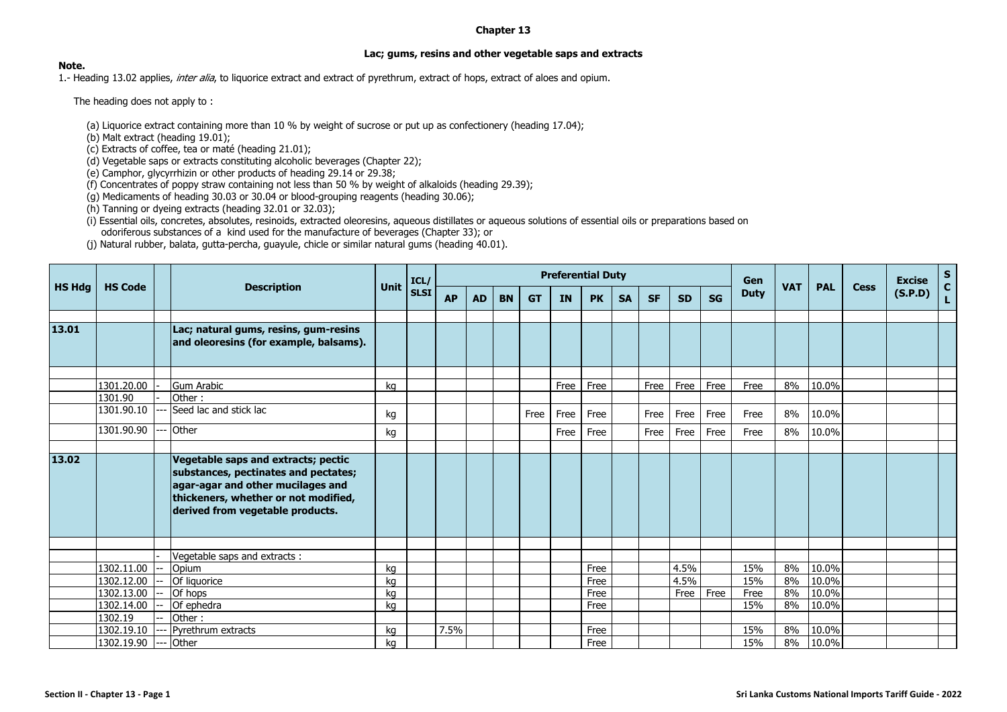## **Chapter 13**

## **Lac; gums, resins and other vegetable saps and extracts**

## **Note.**

1.- Heading 13.02 applies, *inter alia*, to liquorice extract and extract of pyrethrum, extract of hops, extract of aloes and opium.

The heading does not apply to:

(a) Liquorice extract containing more than 10 % by weight of sucrose or put up as confectionery (heading 17.04);

(b) Malt extract (heading 19.01);

(c) Extracts of coffee, tea or maté (heading 21.01);

(d) Vegetable saps or extracts constituting alcoholic beverages (Chapter 22);

(e) Camphor, glycyrrhizin or other products of heading 29.14 or 29.38;

(f) Concentrates of poppy straw containing not less than 50 % by weight of alkaloids (heading 29.39);

(g) Medicaments of heading 30.03 or 30.04 or blood-grouping reagents (heading 30.06);

(h) Tanning or dyeing extracts (heading 32.01 or 32.03);

(i) Essential oils, concretes, absolutes, resinoids, extracted oleoresins, aqueous distillates or aqueous solutions of essential oils or preparations based on odoriferous substances of a kind used for the manufacture of beverages (Chapter 33); or

(j) Natural rubber, balata, gutta-percha, guayule, chicle or similar natural gums (heading 40.01).

| HS Hdg | <b>HS Code</b>           |  | <b>Description</b>                                                                                                                                                                           | Unit     | ICL/        | <b>Preferential Duty</b> |           |           |           |           |              |           |           |              |           | Gen         |            |                |      | <b>Excise</b> | $S$<br>$C$   |
|--------|--------------------------|--|----------------------------------------------------------------------------------------------------------------------------------------------------------------------------------------------|----------|-------------|--------------------------|-----------|-----------|-----------|-----------|--------------|-----------|-----------|--------------|-----------|-------------|------------|----------------|------|---------------|--------------|
|        |                          |  |                                                                                                                                                                                              |          | <b>SLSI</b> | <b>AP</b>                | <b>AD</b> | <b>BN</b> | <b>GT</b> | <b>IN</b> | <b>PK</b>    | <b>SA</b> | <b>SF</b> | <b>SD</b>    | <b>SG</b> | <b>Duty</b> | <b>VAT</b> | <b>PAL</b>     | Cess | (S.P.D)       | $\mathbf{L}$ |
|        |                          |  |                                                                                                                                                                                              |          |             |                          |           |           |           |           |              |           |           |              |           |             |            |                |      |               |              |
| 13.01  |                          |  | Lac; natural gums, resins, gum-resins<br>and oleoresins (for example, balsams).                                                                                                              |          |             |                          |           |           |           |           |              |           |           |              |           |             |            |                |      |               |              |
|        |                          |  |                                                                                                                                                                                              |          |             |                          |           |           |           |           |              |           |           |              |           |             |            |                |      |               |              |
|        | 1301.20.00<br>1301.90    |  | <b>Gum Arabic</b><br>Other:                                                                                                                                                                  | kq       |             |                          |           |           |           | Free      | Free         |           | Free      | Free         | Free      | Free        | 8%         | 10.0%          |      |               |              |
|        | 1301.90.10               |  | Seed lac and stick lac                                                                                                                                                                       |          |             |                          |           |           |           |           |              |           |           |              |           |             |            |                |      |               |              |
|        |                          |  |                                                                                                                                                                                              | kg       |             |                          |           |           | Free      | Free      | Free         |           | Free      | Free         | Free      | Free        | 8%         | 10.0%          |      |               |              |
|        | 1301.90.90               |  | Other                                                                                                                                                                                        | kg       |             |                          |           |           |           | Free      | Free         |           | Free      | Free         | Free      | Free        | 8%         | 10.0%          |      |               |              |
|        |                          |  |                                                                                                                                                                                              |          |             |                          |           |           |           |           |              |           |           |              |           |             |            |                |      |               |              |
| 13.02  |                          |  | Vegetable saps and extracts; pectic<br>substances, pectinates and pectates;<br>agar-agar and other mucilages and<br>thickeners, whether or not modified,<br>derived from vegetable products. |          |             |                          |           |           |           |           |              |           |           |              |           |             |            |                |      |               |              |
|        |                          |  |                                                                                                                                                                                              |          |             |                          |           |           |           |           |              |           |           |              |           |             |            |                |      |               |              |
|        |                          |  | Vegetable saps and extracts :                                                                                                                                                                |          |             |                          |           |           |           |           |              |           |           |              |           |             |            |                |      |               |              |
|        | 1302.11.00<br>1302.12.00 |  | Opium<br>Of liquorice                                                                                                                                                                        | kq<br>kg |             |                          |           |           |           |           | Free<br>Free |           |           | 4.5%<br>4.5% |           | 15%<br>15%  | 8%<br>8%   | 10.0%<br>10.0% |      |               |              |
|        | 1302.13.00               |  | Of hops                                                                                                                                                                                      | kq       |             |                          |           |           |           |           | Free         |           |           | Free         | Free      | Free        | 8%         | 10.0%          |      |               |              |
|        | 1302.14.00               |  | Of ephedra                                                                                                                                                                                   | kg       |             |                          |           |           |           |           | Free         |           |           |              |           | 15%         | 8%         | 10.0%          |      |               |              |
|        | 1302.19                  |  | Other:                                                                                                                                                                                       |          |             |                          |           |           |           |           |              |           |           |              |           |             |            |                |      |               |              |
|        | 1302.19.10               |  | Pyrethrum extracts                                                                                                                                                                           | kq       |             | 7.5%                     |           |           |           |           | Free         |           |           |              |           | 15%         | 8%         | 10.0%          |      |               |              |
|        | 1302.19.90               |  | Other                                                                                                                                                                                        | kg       |             |                          |           |           |           |           | Free         |           |           |              |           | 15%         | 8%         | 10.0%          |      |               |              |